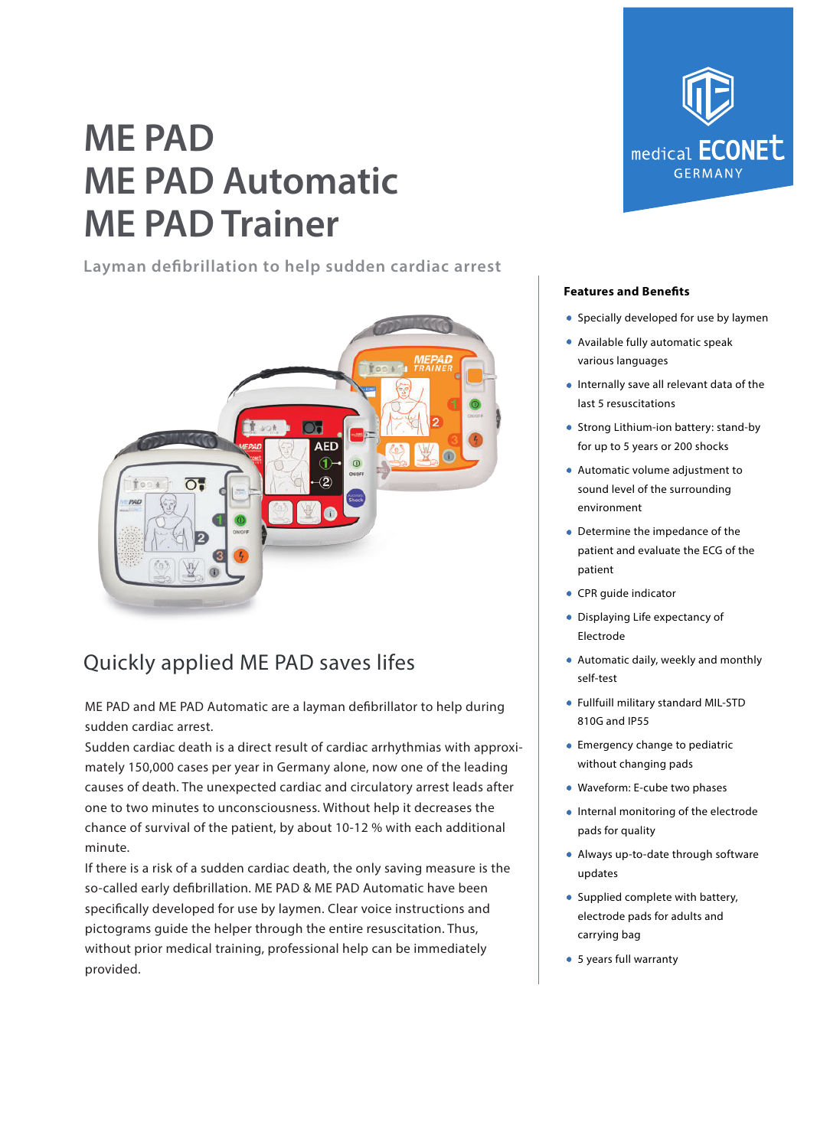# **ME PAD ME PAD Automatic ME PAD Trainer**

**Layman defibrillation to help sudden cardiac arrest**



### Quickly applied ME PAD saves lifes

ME PAD and ME PAD Automatic are a layman defibrillator to help during sudden cardiac arrest.

Sudden cardiac death is a direct result of cardiac arrhythmias with approximately 150,000 cases per year in Germany alone, now one of the leading causes of death. The unexpected cardiac and circulatory arrest leads after one to two minutes to unconsciousness. Without help it decreases the chance of survival of the patient, by about 10-12 % with each additional minute.

If there is a risk of a sudden cardiac death, the only saving measure is the so-called early defibrillation. ME PAD & ME PAD Automatic have been specifically developed for use by laymen. Clear voice instructions and pictograms guide the helper through the entire resuscitation. Thus, without prior medical training, professional help can be immediately provided.



### **Features and Benefits**

- **•** Specially developed for use by laymen
- Available fully automatic speak various languages
- **Internally save all relevant data of the** last 5 resuscitations
- Strong Lithium-ion battery: stand-by for up to 5 years or 200 shocks
- Automatic volume adjustment to sound level of the surrounding environment
- Determine the impedance of the patient and evaluate the ECG of the patient
- CPR guide indicator
- Displaying Life expectancy of Electrode
- Automatic daily, weekly and monthly self-test
- Fullfuill military standard MIL-STD 810G and IP55
- Emergency change to pediatric without changing pads
- Waveform: E-cube two phases
- Internal monitoring of the electrode pads for quality
- Always up-to-date through software updates
- Supplied complete with battery, electrode pads for adults and carrying bag
- 5 years full warranty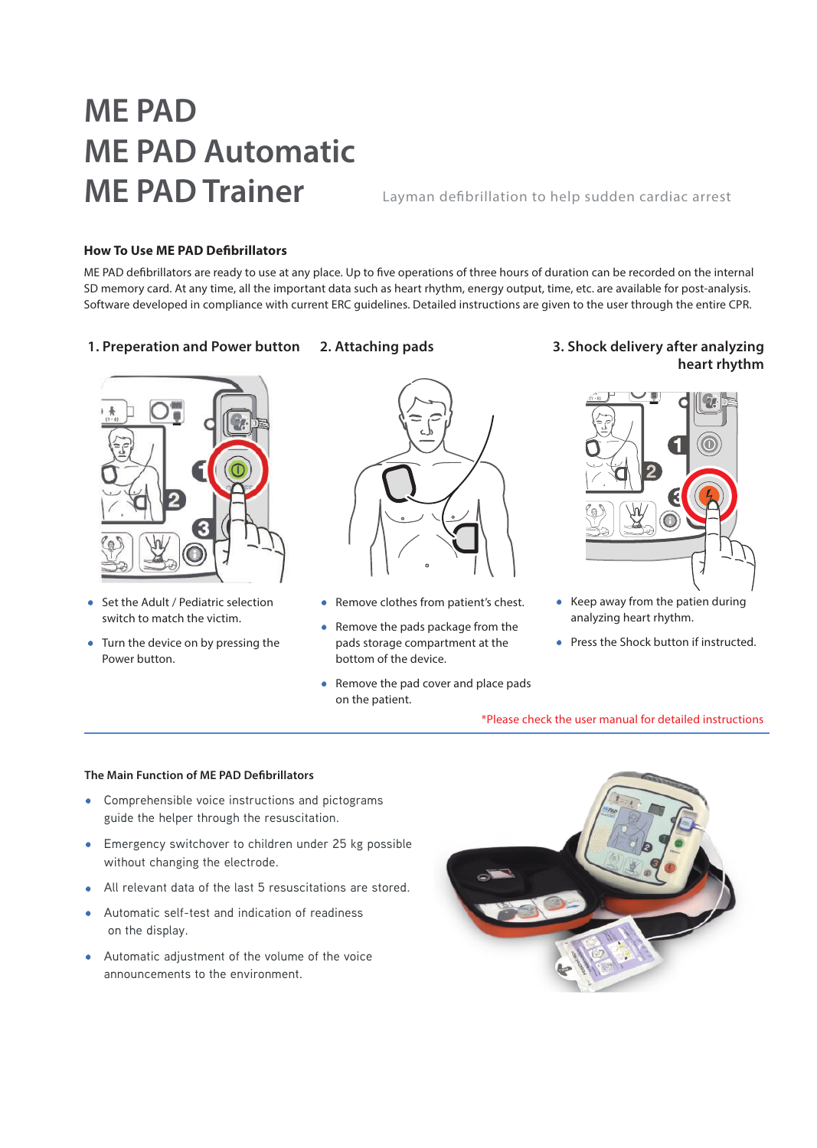# **ME PAD ME PAD Automatic ME PAD Trainer** Layman defibrillation to help sudden cardiac arrest

### **How To Use ME PAD Defibrillators**

ME PAD defibrillators are ready to use at any place. Up to five operations of three hours of duration can be recorded on the internal SD memory card. At any time, all the important data such as heart rhythm, energy output, time, etc. are available for post-analysis. Software developed in compliance with current ERC guidelines. Detailed instructions are given to the user through the entire CPR.

**2. Attaching pads**

### **1. Preperation and Power button**



- Set the Adult / Pediatric selection switch to match the victim.
- Turn the device on by pressing the Power button.



- Remove clothes from patient's chest.
- Remove the pads package from the pads storage compartment at the bottom of the device.
- Remove the pad cover and place pads on the patient.

### **3. Shock delivery after analyzing heart rhythm**



- Keep away from the patien during analyzing heart rhythm.
- Press the Shock button if instructed.

\*Please check the user manual for detailed instructions

#### **The Main Function of ME PAD Defibrillators**

- Comprehensible voice instructions and pictograms guide the helper through the resuscitation.
- Emergency switchover to children under 25 kg possible without changing the electrode.
- All relevant data of the last 5 resuscitations are stored.
- Automatic self-test and indication of readiness on the display.
- Automatic adjustment of the volume of the voice announcements to the environment.

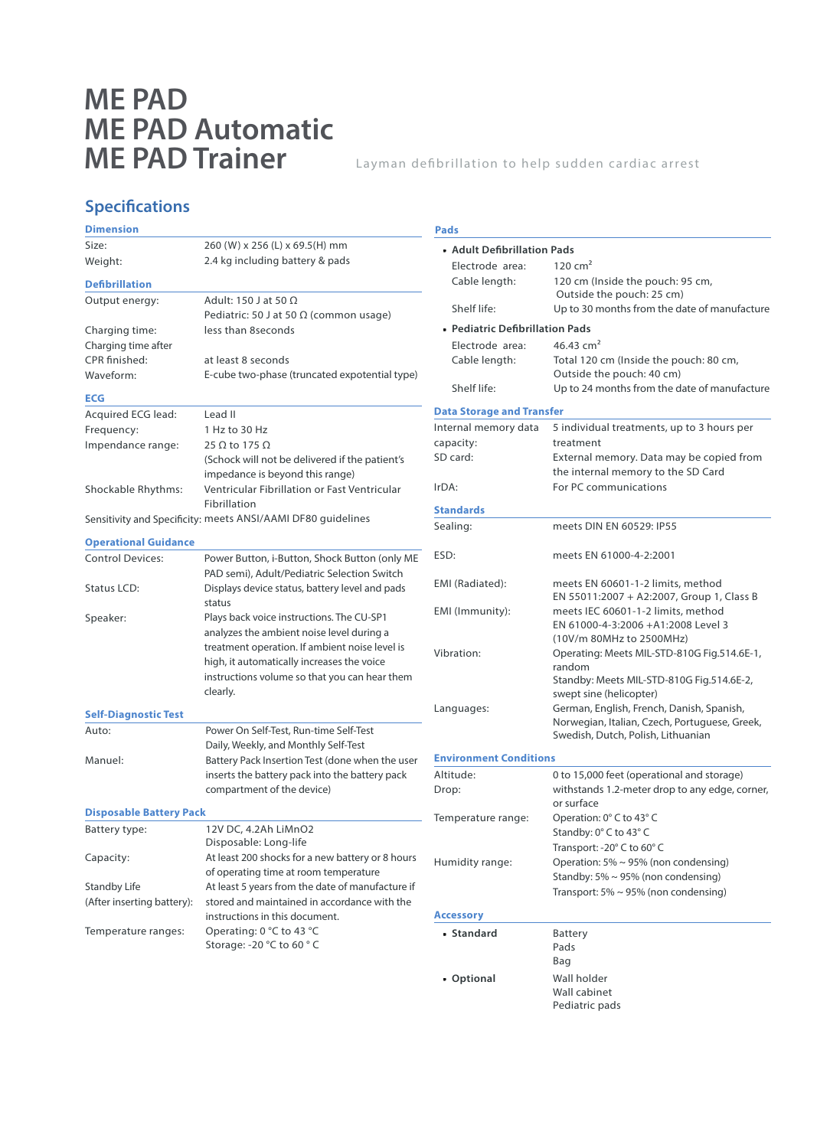## **ME PAD ME PAD Automatic ME PAD Trainer**

Layman defibrillation to help sudden cardiac arrest

### **Specifications**

| <b>Dimension</b>                                                                                             |                                                                                                                                               | Pads                             |                                                                                                      |  |
|--------------------------------------------------------------------------------------------------------------|-----------------------------------------------------------------------------------------------------------------------------------------------|----------------------------------|------------------------------------------------------------------------------------------------------|--|
| Size:                                                                                                        | 260 (W) x 256 (L) x 69.5 (H) mm                                                                                                               | • Adult Defibrillation Pads      |                                                                                                      |  |
| Weight:                                                                                                      | 2.4 kg including battery & pads                                                                                                               | Electrode area:                  | 120 cm <sup>2</sup>                                                                                  |  |
| <b>Defibrillation</b>                                                                                        |                                                                                                                                               | Cable length:                    | 120 cm (Inside the pouch: 95 cm,                                                                     |  |
| Output energy:                                                                                               | Adult: 150 J at 50 $\Omega$<br>Pediatric: 50 J at 50 $\Omega$ (common usage)                                                                  | Shelf life:                      | Outside the pouch: 25 cm)<br>Up to 30 months from the date of manufacture                            |  |
| Charging time:                                                                                               | less than 8 seconds                                                                                                                           | • Pediatric Defibrillation Pads  |                                                                                                      |  |
| Charging time after                                                                                          |                                                                                                                                               | 46.43 $cm2$<br>Electrode area:   |                                                                                                      |  |
| CPR finished:<br>Waveform:                                                                                   | at least 8 seconds<br>E-cube two-phase (truncated expotential type)                                                                           | Cable length:                    | Total 120 cm (Inside the pouch: 80 cm,<br>Outside the pouch: 40 cm)                                  |  |
|                                                                                                              |                                                                                                                                               | Shelf life:                      | Up to 24 months from the date of manufacture                                                         |  |
| <b>ECG</b>                                                                                                   |                                                                                                                                               |                                  |                                                                                                      |  |
| Acquired ECG lead:                                                                                           | Lead II                                                                                                                                       | <b>Data Storage and Transfer</b> |                                                                                                      |  |
| Frequency:                                                                                                   | 1 Hz to 30 Hz                                                                                                                                 | Internal memory data             | 5 individual treatments, up to 3 hours per                                                           |  |
| Impendance range:                                                                                            | 25 $\Omega$ to 175 $\Omega$                                                                                                                   | capacity:                        | treatment                                                                                            |  |
|                                                                                                              | (Schock will not be delivered if the patient's<br>impedance is beyond this range)                                                             | SD card:                         | External memory. Data may be copied from<br>the internal memory to the SD Card                       |  |
| Shockable Rhythms:                                                                                           | Ventricular Fibrillation or Fast Ventricular                                                                                                  | IrDA:                            | For PC communications                                                                                |  |
|                                                                                                              | Fibrillation                                                                                                                                  | <b>Standards</b>                 |                                                                                                      |  |
| Sensitivity and Specificity: meets ANSI/AAMI DF80 guidelines                                                 |                                                                                                                                               | Sealing:                         | meets DIN EN 60529: IP55                                                                             |  |
| <b>Operational Guidance</b>                                                                                  |                                                                                                                                               | ESD:                             | meets EN 61000-4-2:2001                                                                              |  |
| <b>Control Devices:</b>                                                                                      | Power Button, i-Button, Shock Button (only ME<br>PAD semi), Adult/Pediatric Selection Switch                                                  |                                  |                                                                                                      |  |
| Status LCD:                                                                                                  | Displays device status, battery level and pads<br>status                                                                                      | EMI (Radiated):                  | meets EN 60601-1-2 limits, method<br>EN 55011:2007 + A2:2007, Group 1, Class B                       |  |
| Speaker:                                                                                                     | Plays back voice instructions. The CU-SP1<br>analyzes the ambient noise level during a                                                        | EMI (Immunity):                  | meets IEC 60601-1-2 limits, method<br>EN 61000-4-3:2006 +A1:2008 Level 3<br>(10V/m 80MHz to 2500MHz) |  |
|                                                                                                              | treatment operation. If ambient noise level is<br>high, it automatically increases the voice<br>instructions volume so that you can hear them | Vibration:                       | Operating: Meets MIL-STD-810G Fig.514.6E-1,<br>random                                                |  |
|                                                                                                              | clearly.                                                                                                                                      |                                  | Standby: Meets MIL-STD-810G Fig.514.6E-2,<br>swept sine (helicopter)                                 |  |
| <b>Self-Diagnostic Test</b>                                                                                  |                                                                                                                                               | Languages:                       | German, English, French, Danish, Spanish,<br>Norwegian, Italian, Czech, Portuguese, Greek,           |  |
| Auto:                                                                                                        | Power On Self-Test, Run-time Self-Test<br>Daily, Weekly, and Monthly Self-Test                                                                |                                  | Swedish, Dutch, Polish, Lithuanian                                                                   |  |
| Manuel:                                                                                                      | Battery Pack Insertion Test (done when the user<br>inserts the battery pack into the battery pack<br>compartment of the device)               | <b>Environment Conditions</b>    |                                                                                                      |  |
|                                                                                                              |                                                                                                                                               | Altitude:                        | 0 to 15,000 feet (operational and storage)                                                           |  |
|                                                                                                              |                                                                                                                                               | Drop:                            | withstands 1.2-meter drop to any edge, corner,<br>or surface                                         |  |
| <b>Disposable Battery Pack</b>                                                                               |                                                                                                                                               | Temperature range:               | Operation: 0° C to 43° C                                                                             |  |
| Battery type:                                                                                                | 12V DC, 4.2Ah LiMnO2<br>Disposable: Long-life                                                                                                 |                                  | Standby: 0° C to 43° C<br>Transport: - 20° C to 60° C                                                |  |
| Capacity:                                                                                                    | At least 200 shocks for a new battery or 8 hours<br>of operating time at room temperature                                                     | Humidity range:                  | Operation: 5% ~ 95% (non condensing)                                                                 |  |
| <b>Standby Life</b>                                                                                          | At least 5 years from the date of manufacture if                                                                                              |                                  | Standby: $5\% \sim 95\%$ (non condensing)                                                            |  |
| (After inserting battery):<br>stored and maintained in accordance with the<br>instructions in this document. |                                                                                                                                               | <b>Accessory</b>                 | Transport: $5\% \sim 95\%$ (non condensing)                                                          |  |
| Temperature ranges:                                                                                          | Operating: 0 °C to 43 °C<br>Storage: -20 °C to 60 °C                                                                                          | • Standard                       | <b>Battery</b><br>Pads<br>Bag                                                                        |  |
|                                                                                                              |                                                                                                                                               | • Optional                       | Wall holder<br>Wall cabinet<br>Pediatric pads                                                        |  |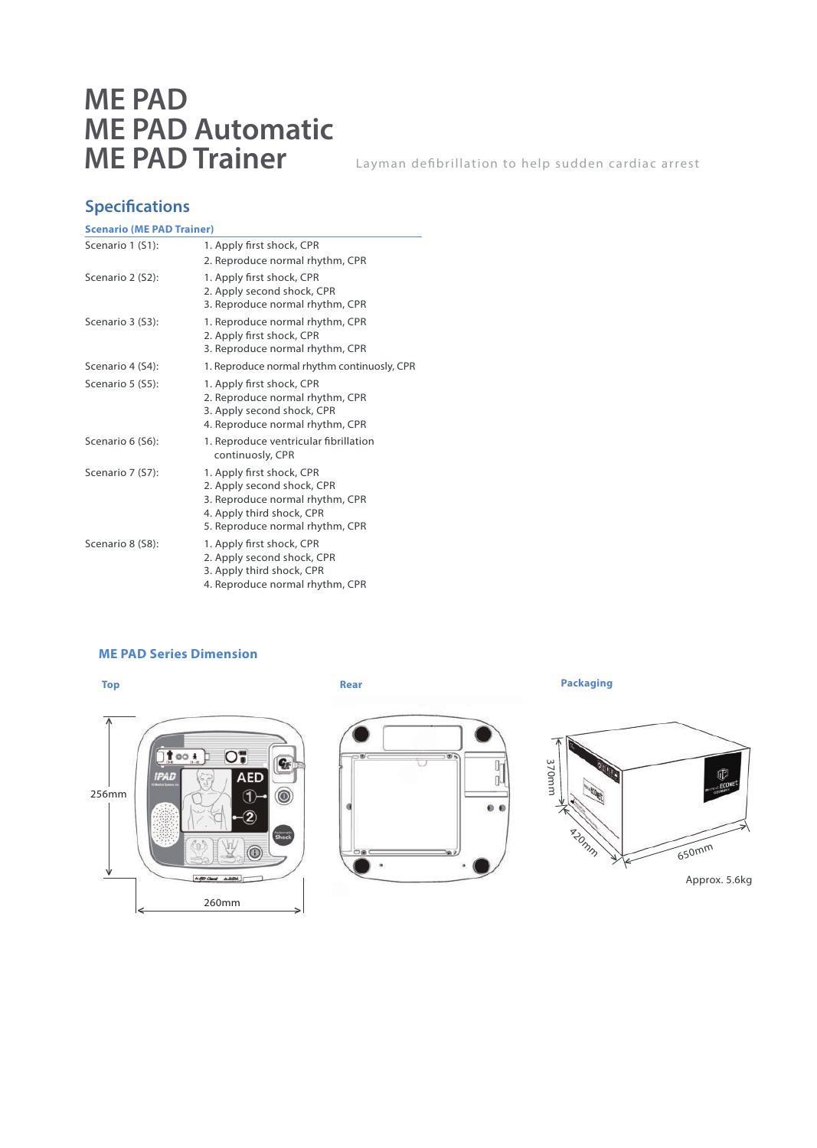## **ME PAD ME PAD Automatic ME PAD Trainer**

Layman defibrillation to help sudden cardiac arrest

### **Specifications**

| <b>Scenario (ME PAD Trainer)</b> |                                                                                                                                                            |  |  |  |
|----------------------------------|------------------------------------------------------------------------------------------------------------------------------------------------------------|--|--|--|
| Scenario 1 (S1):                 | 1. Apply first shock, CPR<br>2. Reproduce normal rhythm, CPR                                                                                               |  |  |  |
| Scenario 2 (S2):                 | 1. Apply first shock, CPR<br>2. Apply second shock, CPR<br>3. Reproduce normal rhythm, CPR                                                                 |  |  |  |
| Scenario 3 (S3):                 | 1. Reproduce normal rhythm, CPR<br>2. Apply first shock, CPR<br>3. Reproduce normal rhythm, CPR                                                            |  |  |  |
| Scenario 4 (S4):                 | 1. Reproduce normal rhythm continuosly, CPR                                                                                                                |  |  |  |
| Scenario 5 (S5):                 | 1. Apply first shock, CPR<br>2. Reproduce normal rhythm, CPR<br>3. Apply second shock, CPR<br>4. Reproduce normal rhythm, CPR                              |  |  |  |
| Scenario 6 (S6):                 | 1. Reproduce ventricular fibrillation<br>continuosly, CPR                                                                                                  |  |  |  |
| Scenario 7 (S7):                 | 1. Apply first shock, CPR<br>2. Apply second shock, CPR<br>3. Reproduce normal rhythm, CPR<br>4. Apply third shock, CPR<br>5. Reproduce normal rhythm, CPR |  |  |  |
| Scenario 8 (S8):                 | 1. Apply first shock, CPR<br>2. Apply second shock, CPR<br>3. Apply third shock, CPR<br>4. Reproduce normal rhythm, CPR                                    |  |  |  |

### **ME PAD Series Dimension**





**Packaging**



Approx. 5.6kg